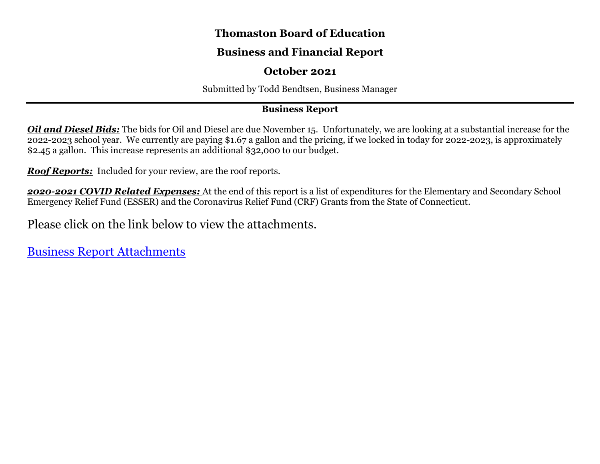# **Thomaston Board of Education**

# **Business and Financial Report**

## **October 2021**

Submitted by Todd Bendtsen, Business Manager

## **Business Report**

*Oil and Diesel Bids:* The bids for Oil and Diesel are due November 15. Unfortunately, we are looking at a substantial increase for the 2022-2023 school year. We currently are paying \$1.67 a gallon and the pricing, if we locked in today for 2022-2023, is approximately \$2.45 a gallon. This increase represents an additional \$32,000 to our budget.

*Roof Reports:* Included for your review, are the roof reports.

*2020-2021 COVID Related Expenses:* At the end of this report is a list of expenditures for the Elementary and Secondary School Emergency Relief Fund (ESSER) and the Coronavirus Relief Fund (CRF) Grants from the State of Connecticut.

Please click on the link below to view the attachments.

[Business Report Attachments](https://drive.google.com/drive/folders/1txHVsH8Hyco3D1jc1JCTPSHe-7qH1uxx?usp=sharing)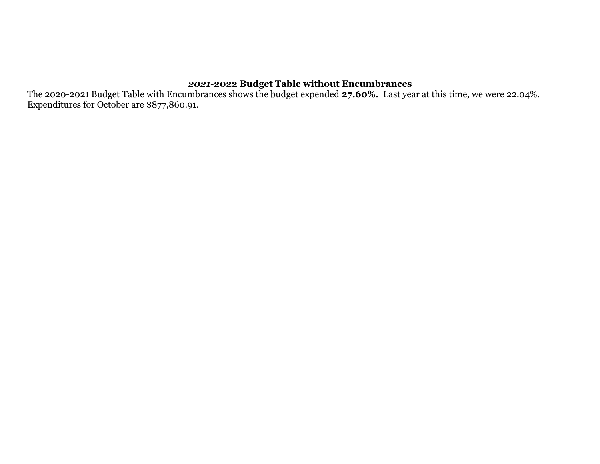#### *2021***-2022 Budget Table without Encumbrances**

The 2020-2021 Budget Table with Encumbrances shows the budget expended **27.60%.** Last year at this time, we were 22.04%. Expenditures for October are \$877,860.91.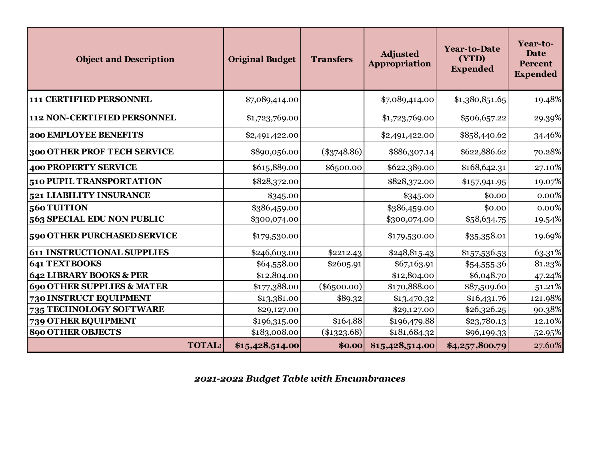| <b>Object and Description</b>         | <b>Original Budget</b> | <b>Transfers</b> | <b>Adjusted</b><br>Appropriation | <b>Year-to-Date</b><br>(YTD)<br><b>Expended</b> | Year-to-<br>Date<br><b>Percent</b><br><b>Expended</b> |
|---------------------------------------|------------------------|------------------|----------------------------------|-------------------------------------------------|-------------------------------------------------------|
| 111 CERTIFIED PERSONNEL               | \$7,089,414.00         |                  | \$7,089,414.00                   | \$1,380,851.65                                  | 19.48%                                                |
| 112 NON-CERTIFIED PERSONNEL           | \$1,723,769.00         |                  | \$1,723,769.00                   | \$506,657.22                                    | 29.39%                                                |
| <b>200 EMPLOYEE BENEFITS</b>          | \$2,491,422.00         |                  | \$2,491,422.00                   | \$858,440.62                                    | 34.46%                                                |
| 300 OTHER PROF TECH SERVICE           | \$890,056.00           | $(\$3748.86)$    | \$886,307.14                     | \$622,886.62                                    | 70.28%                                                |
| 400 PROPERTY SERVICE                  | \$615,889.00           | \$6500.00        | \$622,389.00                     | \$168,642.31                                    | 27.10%                                                |
| <b>510 PUPIL TRANSPORTATION</b>       | \$828,372.00           |                  | \$828,372.00                     | \$157,941.95                                    | 19.07%                                                |
| <b>521 LIABILITY INSURANCE</b>        | \$345.00               |                  | \$345.00                         | \$0.00                                          | 0.00%                                                 |
| <b>560 TUITION</b>                    | \$386,459.00           |                  | \$386,459.00                     | \$0.00                                          | 0.00%                                                 |
| 563 SPECIAL EDU NON PUBLIC            | \$300,074.00           |                  | \$300,074.00                     | \$58,634.75                                     | 19.54%                                                |
| 590 OTHER PURCHASED SERVICE           | \$179,530.00           |                  | \$179,530.00                     | \$35,358.01                                     | 19.69%                                                |
| <b>611 INSTRUCTIONAL SUPPLIES</b>     | \$246,603.00           | \$2212.43        | \$248,815.43                     | \$157,536.53                                    | 63.31%                                                |
| <b>641 TEXTBOOKS</b>                  | \$64,558.00            | \$2605.91        | \$67,163.91                      | \$54,555.36                                     | 81.23%                                                |
| 642 LIBRARY BOOKS & PER               | \$12,804.00            |                  | \$12,804.00                      | \$6,048.70                                      | 47.24%                                                |
| <b>690 OTHER SUPPLIES &amp; MATER</b> | \$177,388.00           | $(\$6500.00)$    | \$170,888.00                     | \$87,509.60                                     | 51.21%                                                |
| <b>730 INSTRUCT EQUIPMENT</b>         | \$13,381.00            | \$89.32          | \$13,470.32                      | \$16,431.76                                     | 121.98%                                               |
| 735 TECHNOLOGY SOFTWARE               | \$29,127.00            |                  | \$29,127.00                      | \$26,326.25                                     | 90.38%                                                |
| 739 OTHER EQUIPMENT                   | \$196,315.00           | \$164.88         | \$196,479.88                     | \$23,780.13                                     | 12.10%                                                |
| <b>890 OTHER OBJECTS</b>              | \$183,008.00           | $(\$1323.68)$    | \$181,684.32                     | \$96,199.33                                     | 52.95%                                                |
| <b>TOTAL:</b>                         | \$15,428,514.00        | \$0.00           | \$15,428,514.00                  | \$4,257,800.79                                  | 27.60%                                                |

*2021-2022 Budget Table with Encumbrances*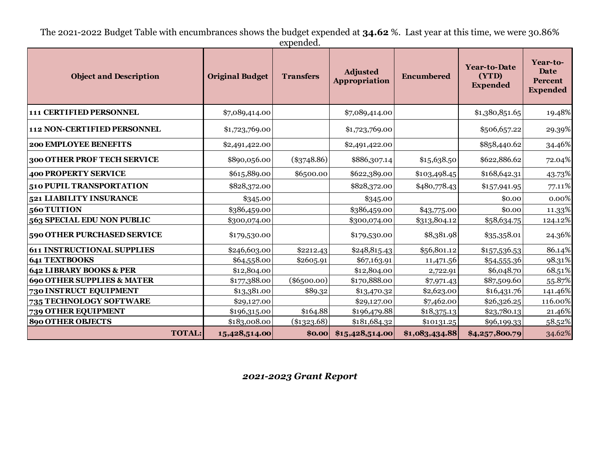The 2021-2022 Budget Table with encumbrances shows the budget expended at **34.62** %. Last year at this time, we were 30.86% expended.

| <b>Object and Description</b>         |               | <b>Original Budget</b> | <b>Transfers</b> | <b>Adjusted</b><br>Appropriation | Encumbered     | <b>Year-to-Date</b><br>(YTD)<br><b>Expended</b> | Year-to-<br>Date<br><b>Percent</b><br><b>Expended</b> |
|---------------------------------------|---------------|------------------------|------------------|----------------------------------|----------------|-------------------------------------------------|-------------------------------------------------------|
| 111 CERTIFIED PERSONNEL               |               | \$7,089,414.00         |                  | \$7,089,414.00                   |                | \$1,380,851.65                                  | 19.48%                                                |
| 112 NON-CERTIFIED PERSONNEL           |               | \$1,723,769.00         |                  | \$1,723,769.00                   |                | \$506,657.22                                    | 29.39%                                                |
| <b>200 EMPLOYEE BENEFITS</b>          |               | \$2,491,422.00         |                  | \$2,491,422.00                   |                | \$858,440.62                                    | 34.46%                                                |
| 300 OTHER PROF TECH SERVICE           |               | \$890,056.00           | $(\$3748.86)$    | \$886,307.14                     | \$15,638.50    | \$622,886.62                                    | 72.04%                                                |
| <b>400 PROPERTY SERVICE</b>           |               | \$615,889.00           | \$6500.00        | \$622,389.00                     | \$103,498.45   | \$168,642.31                                    | 43.73%                                                |
| 510 PUPIL TRANSPORTATION              |               | \$828,372.00           |                  | \$828,372.00                     | \$480,778.43   | \$157,941.95                                    | 77.11%                                                |
| 521 LIABILITY INSURANCE               |               | \$345.00               |                  | \$345.00                         |                | \$0.00                                          | 0.00%                                                 |
| 560 TUITION                           |               | \$386,459.00           |                  | \$386,459.00                     | \$43,775.00    | \$0.00                                          | 11.33%                                                |
| 563 SPECIAL EDU NON PUBLIC            |               | \$300,074.00           |                  | \$300,074.00                     | \$313,804.12   | \$58,634.75                                     | 124.12%                                               |
| 590 OTHER PURCHASED SERVICE           |               | \$179,530.00           |                  | \$179,530.00                     | \$8,381.98     | \$35,358.01                                     | 24.36%                                                |
| <b>611 INSTRUCTIONAL SUPPLIES</b>     |               | \$246,603.00           | \$2212.43        | \$248,815.43                     | \$56,801.12    | \$157,536.53                                    | 86.14%                                                |
| <b>641 TEXTBOOKS</b>                  |               | \$64,558.00            | \$2605.91        | \$67,163.91                      | 11,471.56      | \$54,555.36                                     | 98.31%                                                |
| 642 LIBRARY BOOKS & PER               |               | \$12,804.00            |                  | \$12,804.00                      | 2,722.91       | \$6,048.70                                      | 68.51%                                                |
| <b>690 OTHER SUPPLIES &amp; MATER</b> |               | \$177,388.00           | $(\$6500.00)$    | \$170,888.00                     | \$7,971.43     | \$87,509.60                                     | 55.87%                                                |
| 730 INSTRUCT EQUIPMENT                |               | \$13,381.00            | \$89.32          | \$13,470.32                      | \$2,623.00     | \$16,431.76                                     | 141.46%                                               |
| 735 TECHNOLOGY SOFTWARE               |               | \$29,127.00            |                  | \$29,127.00                      | \$7,462.00     | \$26,326.25                                     | 116.00%                                               |
| 739 OTHER EQUIPMENT                   |               | \$196,315.00           | \$164.88         | \$196,479.88                     | \$18,375.13    | \$23,780.13                                     | 21.46%                                                |
| <b>890 OTHER OBJECTS</b>              |               | \$183,008.00           | $(\$1323.68)$    | \$181,684.32                     | \$10131.25     | \$96,199.33                                     | 58.52%                                                |
|                                       | <b>TOTAL:</b> | 15,428,514.00          | \$0.00           | \$15,428,514.00                  | \$1,083,434.88 | \$4,257,800.79                                  | 34.62%                                                |

*2021-2023 Grant Report*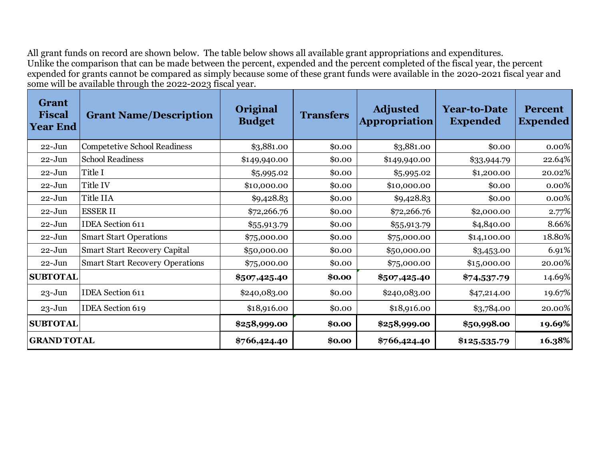All grant funds on record are shown below. The table below shows all available grant appropriations and expenditures. Unlike the comparison that can be made between the percent, expended and the percent completed of the fiscal year, the percent expended for grants cannot be compared as simply because some of these grant funds were available in the 2020-2021 fiscal year and some will be available through the 2022-2023 fiscal year.

| <b>Grant</b><br><b>Fiscal</b><br><b>Year End</b> | <b>Grant Name/Description</b>          | Original<br><b>Budget</b> | <b>Transfers</b> | <b>Adjusted</b><br><b>Appropriation</b> | <b>Year-to-Date</b><br><b>Expended</b> | <b>Percent</b><br><b>Expended</b> |
|--------------------------------------------------|----------------------------------------|---------------------------|------------------|-----------------------------------------|----------------------------------------|-----------------------------------|
| $22 - Jun$                                       | <b>Competetive School Readiness</b>    | \$3,881.00                | \$0.00           | \$3,881.00                              | \$0.00                                 | 0.00%                             |
| $22 - Jun$                                       | <b>School Readiness</b>                | \$149,940.00              | \$0.00           | \$149,940.00                            | \$33,944.79                            | 22.64%                            |
| $22 - Jun$                                       | Title I                                | \$5,995.02                | \$0.00           | \$5,995.02                              | \$1,200.00                             | 20.02%                            |
| $22 - Jun$                                       | Title IV                               | \$10,000.00               | \$0.00           | \$10,000.00                             | \$0.00                                 | 0.00%                             |
| $22 - Jun$                                       | Title IIA                              | \$9,428.83                | \$0.00           | \$9,428.83                              | \$0.00                                 | 0.00%                             |
| $22 - Jun$                                       | <b>ESSERII</b>                         | \$72,266.76               | \$0.00           | \$72,266.76                             | \$2,000.00                             | 2.77%                             |
| $22 - Jun$                                       | <b>IDEA</b> Section 611                | \$55,913.79               | \$0.00           | \$55,913.79                             | \$4,840.00                             | 8.66%                             |
| $22 - Jun$                                       | <b>Smart Start Operations</b>          | \$75,000.00               | \$0.00           | \$75,000.00                             | \$14,100.00                            | 18.80%                            |
| $22 - Jun$                                       | <b>Smart Start Recovery Capital</b>    | \$50,000.00               | \$0.00           | \$50,000.00                             | \$3,453.00                             | 6.91%                             |
| $22 - Jun$                                       | <b>Smart Start Recovery Operations</b> | \$75,000.00               | \$0.00           | \$75,000.00                             | \$15,000.00                            | 20.00%                            |
| <b>SUBTOTAL</b>                                  |                                        | \$507,425.40              | \$0.00           | \$507,425.40                            | \$74,537.79                            | 14.69%                            |
| $23 - Jun$                                       | <b>IDEA</b> Section 611                | \$240,083.00              | \$0.00           | \$240,083.00                            | \$47,214.00                            | 19.67%                            |
| $23 - Jun$                                       | <b>IDEA</b> Section 619                | \$18,916.00               | \$0.00           | \$18,916.00                             | \$3,784.00                             | 20.00%                            |
| <b>SUBTOTAL</b>                                  |                                        | \$258,999.00              | \$0.00           | \$258,999.00                            | \$50,998.00                            | 19.69%                            |
| <b>GRAND TOTAL</b>                               |                                        | \$766,424.40              | \$0.00           | \$766,424.40                            | \$125,535.79                           | 16.38%                            |